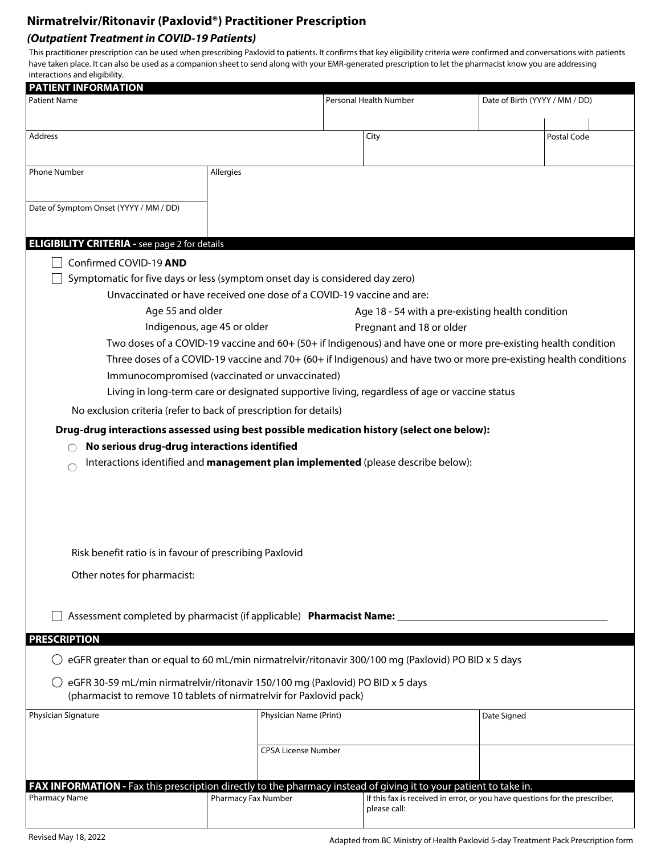# **Nirmatrelvir/Ritonavir (Paxlovid®) Practitioner Prescription**

#### **(Outpatient Treatment in COVID-19 Patients)**

This practitioner prescription can be used when prescribing Paxlovid to patients. It confirms that key eligibility criteria were confirmed and conversations with patients have taken place. It can also be used as a companion sheet to send along with your EMR-generated prescription to let the pharmacist know you are addressing interactions and eligibility.

| <b>PATIENT INFORMATION</b>                                                                                                                                                                                                                      |  |                                                  |                        |             |                                |  |
|-------------------------------------------------------------------------------------------------------------------------------------------------------------------------------------------------------------------------------------------------|--|--------------------------------------------------|------------------------|-------------|--------------------------------|--|
| <b>Patient Name</b>                                                                                                                                                                                                                             |  |                                                  | Personal Health Number |             | Date of Birth (YYYY / MM / DD) |  |
|                                                                                                                                                                                                                                                 |  |                                                  |                        |             |                                |  |
| Address                                                                                                                                                                                                                                         |  |                                                  | City                   |             | Postal Code                    |  |
|                                                                                                                                                                                                                                                 |  |                                                  |                        |             |                                |  |
| <b>Phone Number</b><br>Allergies                                                                                                                                                                                                                |  |                                                  |                        |             |                                |  |
|                                                                                                                                                                                                                                                 |  |                                                  |                        |             |                                |  |
| Date of Symptom Onset (YYYY / MM / DD)                                                                                                                                                                                                          |  |                                                  |                        |             |                                |  |
|                                                                                                                                                                                                                                                 |  |                                                  |                        |             |                                |  |
|                                                                                                                                                                                                                                                 |  |                                                  |                        |             |                                |  |
| <b>ELIGIBILITY CRITERIA - see page 2 for details</b>                                                                                                                                                                                            |  |                                                  |                        |             |                                |  |
| Confirmed COVID-19 AND                                                                                                                                                                                                                          |  |                                                  |                        |             |                                |  |
| Symptomatic for five days or less (symptom onset day is considered day zero)                                                                                                                                                                    |  |                                                  |                        |             |                                |  |
| Unvaccinated or have received one dose of a COVID-19 vaccine and are:                                                                                                                                                                           |  |                                                  |                        |             |                                |  |
| Age 55 and older                                                                                                                                                                                                                                |  | Age 18 - 54 with a pre-existing health condition |                        |             |                                |  |
| Indigenous, age 45 or older<br>Pregnant and 18 or older                                                                                                                                                                                         |  |                                                  |                        |             |                                |  |
| Two doses of a COVID-19 vaccine and 60+ (50+ if Indigenous) and have one or more pre-existing health condition                                                                                                                                  |  |                                                  |                        |             |                                |  |
| Three doses of a COVID-19 vaccine and 70+ (60+ if Indigenous) and have two or more pre-existing health conditions                                                                                                                               |  |                                                  |                        |             |                                |  |
| Immunocompromised (vaccinated or unvaccinated)                                                                                                                                                                                                  |  |                                                  |                        |             |                                |  |
| Living in long-term care or designated supportive living, regardless of age or vaccine status                                                                                                                                                   |  |                                                  |                        |             |                                |  |
| No exclusion criteria (refer to back of prescription for details)                                                                                                                                                                               |  |                                                  |                        |             |                                |  |
| Drug-drug interactions assessed using best possible medication history (select one below):                                                                                                                                                      |  |                                                  |                        |             |                                |  |
| No serious drug-drug interactions identified                                                                                                                                                                                                    |  |                                                  |                        |             |                                |  |
| Interactions identified and management plan implemented (please describe below):                                                                                                                                                                |  |                                                  |                        |             |                                |  |
|                                                                                                                                                                                                                                                 |  |                                                  |                        |             |                                |  |
|                                                                                                                                                                                                                                                 |  |                                                  |                        |             |                                |  |
|                                                                                                                                                                                                                                                 |  |                                                  |                        |             |                                |  |
|                                                                                                                                                                                                                                                 |  |                                                  |                        |             |                                |  |
| Risk benefit ratio is in favour of prescribing Paxlovid                                                                                                                                                                                         |  |                                                  |                        |             |                                |  |
|                                                                                                                                                                                                                                                 |  |                                                  |                        |             |                                |  |
| Other notes for pharmacist:                                                                                                                                                                                                                     |  |                                                  |                        |             |                                |  |
|                                                                                                                                                                                                                                                 |  |                                                  |                        |             |                                |  |
| Assessment completed by pharmacist (if applicable) Pharmacist Name:                                                                                                                                                                             |  |                                                  |                        |             |                                |  |
|                                                                                                                                                                                                                                                 |  |                                                  |                        |             |                                |  |
| <b>PRESCRIPTION</b>                                                                                                                                                                                                                             |  |                                                  |                        |             |                                |  |
| eGFR greater than or equal to 60 mL/min nirmatrelvir/ritonavir 300/100 mg (Paxlovid) PO BID x 5 days                                                                                                                                            |  |                                                  |                        |             |                                |  |
| eGFR 30-59 mL/min nirmatrelvir/ritonavir 150/100 mg (Paxlovid) PO BID x 5 days                                                                                                                                                                  |  |                                                  |                        |             |                                |  |
| (pharmacist to remove 10 tablets of nirmatrelvir for Paxlovid pack)                                                                                                                                                                             |  |                                                  |                        |             |                                |  |
| Physician Signature                                                                                                                                                                                                                             |  | Physician Name (Print)                           |                        | Date Signed |                                |  |
|                                                                                                                                                                                                                                                 |  |                                                  |                        |             |                                |  |
|                                                                                                                                                                                                                                                 |  | <b>CPSA License Number</b>                       |                        |             |                                |  |
|                                                                                                                                                                                                                                                 |  |                                                  |                        |             |                                |  |
|                                                                                                                                                                                                                                                 |  |                                                  |                        |             |                                |  |
| FAX INFORMATION - Fax this prescription directly to the pharmacy instead of giving it to your patient to take in.<br><b>Pharmacy Name</b><br>Pharmacy Fax Number<br>If this fax is received in error, or you have questions for the prescriber, |  |                                                  |                        |             |                                |  |
|                                                                                                                                                                                                                                                 |  |                                                  | please call:           |             |                                |  |
|                                                                                                                                                                                                                                                 |  |                                                  |                        |             |                                |  |

Adapted from BC Ministry of Health Paxlovid 5-day Treatment Pack Prescription form